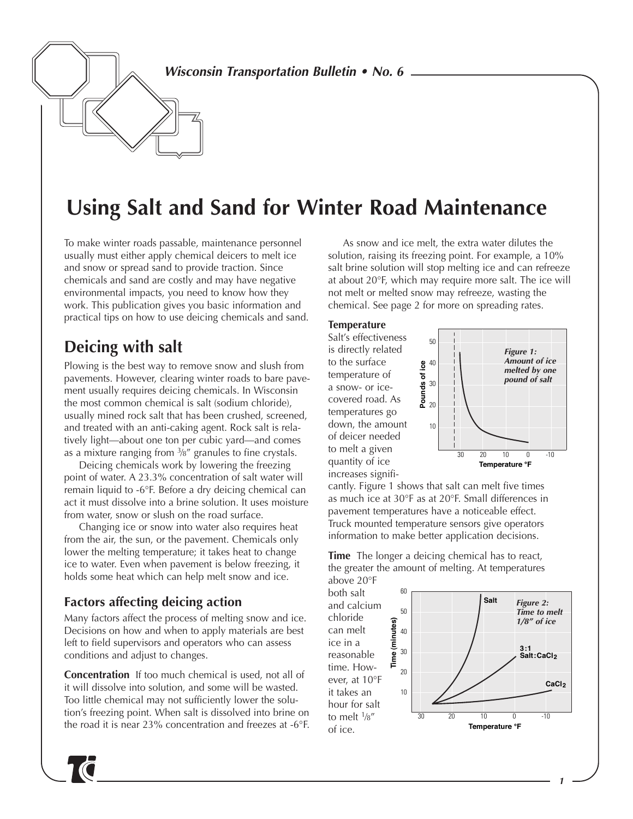**Wisconsin Transportation Bulletin • No. 6**

# **Using Salt and Sand for Winter Road Maintenance**

To make winter roads passable, maintenance personnel usually must either apply chemical deicers to melt ice and snow or spread sand to provide traction. Since chemicals and sand are costly and may have negative environmental impacts, you need to know how they work. This publication gives you basic information and practical tips on how to use deicing chemicals and sand.

### **Deicing with salt**

Plowing is the best way to remove snow and slush from pavements. However, clearing winter roads to bare pavement usually requires deicing chemicals. In Wisconsin the most common chemical is salt (sodium chloride), usually mined rock salt that has been crushed, screened, and treated with an anti-caking agent. Rock salt is relatively light—about one ton per cubic yard—and comes as a mixture ranging from 3⁄8" granules to fine crystals.

Deicing chemicals work by lowering the freezing point of water. A 23.3% concentration of salt water will remain liquid to -6°F. Before a dry deicing chemical can act it must dissolve into a brine solution. It uses moisture from water, snow or slush on the road surface.

Changing ice or snow into water also requires heat from the air, the sun, or the pavement. Chemicals only lower the melting temperature; it takes heat to change ice to water. Even when pavement is below freezing, it holds some heat which can help melt snow and ice.

#### **Factors affecting deicing action**

Many factors affect the process of melting snow and ice. Decisions on how and when to apply materials are best left to field supervisors and operators who can assess conditions and adjust to changes.

**Concentration** If too much chemical is used, not all of it will dissolve into solution, and some will be wasted. Too little chemical may not sufficiently lower the solution's freezing point. When salt is dissolved into brine on the road it is near 23% concentration and freezes at -6°F.

As snow and ice melt, the extra water dilutes the solution, raising its freezing point. For example, a 10% salt brine solution will stop melting ice and can refreeze at about 20°F, which may require more salt. The ice will not melt or melted snow may refreeze, wasting the chemical. See page 2 for more on spreading rates.

#### **Temperature**

Salt's effectiveness is directly related to the surface temperature of a snow- or icecovered road. As temperatures go down, the amount of deicer needed to melt a given quantity of ice increases signifi-



cantly. Figure 1 shows that salt can melt five times as much ice at 30°F as at 20°F. Small differences in pavement temperatures have a noticeable effect. Truck mounted temperature sensors give operators information to make better application decisions.

**Time** The longer a deicing chemical has to react, the greater the amount of melting. At temperatures above 20°F

both salt and calcium chloride can melt ice in a reasonable time. However, at 10°F it takes an hour for salt to melt 1⁄8" of ice.

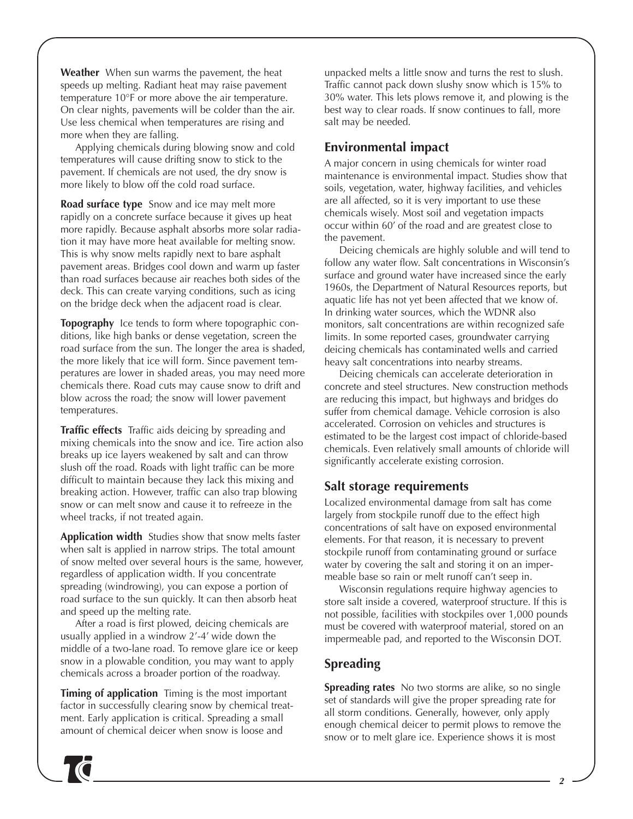**Weather** When sun warms the pavement, the heat speeds up melting. Radiant heat may raise pavement temperature 10°F or more above the air temperature. On clear nights, pavements will be colder than the air. Use less chemical when temperatures are rising and more when they are falling.

Applying chemicals during blowing snow and cold temperatures will cause drifting snow to stick to the pavement. If chemicals are not used, the dry snow is more likely to blow off the cold road surface.

**Road surface type** Snow and ice may melt more rapidly on a concrete surface because it gives up heat more rapidly. Because asphalt absorbs more solar radiation it may have more heat available for melting snow. This is why snow melts rapidly next to bare asphalt pavement areas. Bridges cool down and warm up faster than road surfaces because air reaches both sides of the deck. This can create varying conditions, such as icing on the bridge deck when the adjacent road is clear.

**Topography** Ice tends to form where topographic conditions, like high banks or dense vegetation, screen the road surface from the sun. The longer the area is shaded, the more likely that ice will form. Since pavement temperatures are lower in shaded areas, you may need more chemicals there. Road cuts may cause snow to drift and blow across the road; the snow will lower pavement temperatures.

**Traffic effects** Traffic aids deicing by spreading and mixing chemicals into the snow and ice. Tire action also breaks up ice layers weakened by salt and can throw slush off the road. Roads with light traffic can be more difficult to maintain because they lack this mixing and breaking action. However, traffic can also trap blowing snow or can melt snow and cause it to refreeze in the wheel tracks, if not treated again.

**Application width** Studies show that snow melts faster when salt is applied in narrow strips. The total amount of snow melted over several hours is the same, however, regardless of application width. If you concentrate spreading (windrowing), you can expose a portion of road surface to the sun quickly. It can then absorb heat and speed up the melting rate.

After a road is first plowed, deicing chemicals are usually applied in a windrow 2'-4' wide down the middle of a two-lane road. To remove glare ice or keep snow in a plowable condition, you may want to apply chemicals across a broader portion of the roadway.

**Timing of application** Timing is the most important factor in successfully clearing snow by chemical treatment. Early application is critical. Spreading a small amount of chemical deicer when snow is loose and

unpacked melts a little snow and turns the rest to slush. Traffic cannot pack down slushy snow which is 15% to 30% water. This lets plows remove it, and plowing is the best way to clear roads. If snow continues to fall, more salt may be needed.

#### **Environmental impact**

A major concern in using chemicals for winter road maintenance is environmental impact. Studies show that soils, vegetation, water, highway facilities, and vehicles are all affected, so it is very important to use these chemicals wisely. Most soil and vegetation impacts occur within 60' of the road and are greatest close to the pavement.

Deicing chemicals are highly soluble and will tend to follow any water flow. Salt concentrations in Wisconsin's surface and ground water have increased since the early 1960s, the Department of Natural Resources reports, but aquatic life has not yet been affected that we know of. In drinking water sources, which the WDNR also monitors, salt concentrations are within recognized safe limits. In some reported cases, groundwater carrying deicing chemicals has contaminated wells and carried heavy salt concentrations into nearby streams.

Deicing chemicals can accelerate deterioration in concrete and steel structures. New construction methods are reducing this impact, but highways and bridges do suffer from chemical damage. Vehicle corrosion is also accelerated. Corrosion on vehicles and structures is estimated to be the largest cost impact of chloride-based chemicals. Even relatively small amounts of chloride will significantly accelerate existing corrosion.

#### **Salt storage requirements**

Localized environmental damage from salt has come largely from stockpile runoff due to the effect high concentrations of salt have on exposed environmental elements. For that reason, it is necessary to prevent stockpile runoff from contaminating ground or surface water by covering the salt and storing it on an impermeable base so rain or melt runoff can't seep in.

Wisconsin regulations require highway agencies to store salt inside a covered, waterproof structure. If this is not possible, facilities with stockpiles over 1,000 pounds must be covered with waterproof material, stored on an impermeable pad, and reported to the Wisconsin DOT.

### **Spreading**

**Spreading rates** No two storms are alike, so no single set of standards will give the proper spreading rate for all storm conditions. Generally, however, only apply enough chemical deicer to permit plows to remove the snow or to melt glare ice. Experience shows it is most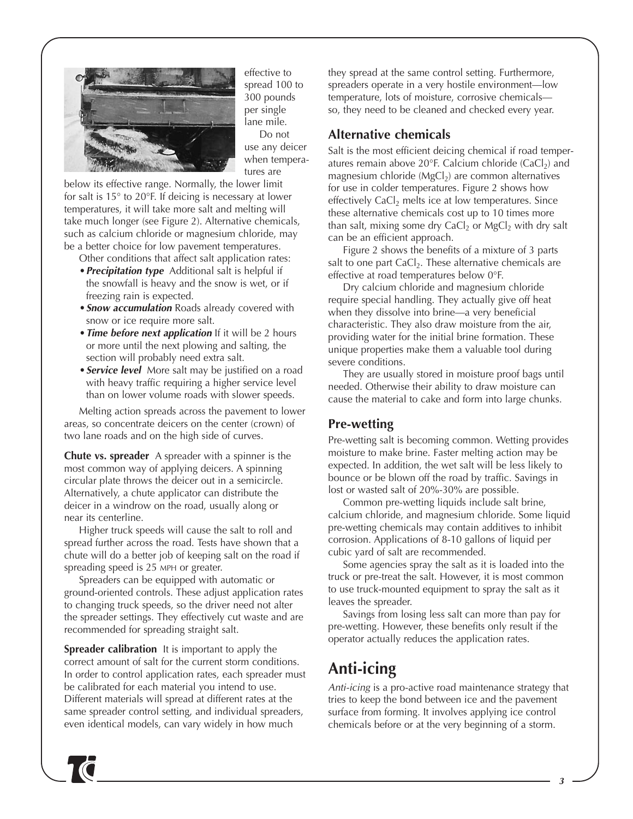

effective to spread 100 to 300 pounds per single lane mile. Do not use any deicer when temperatures are

below its effective range. Normally, the lower limit for salt is 15° to 20°F. If deicing is necessary at lower temperatures, it will take more salt and melting will take much longer (see Figure 2). Alternative chemicals, such as calcium chloride or magnesium chloride, may be a better choice for low pavement temperatures.

- Other conditions that affect salt application rates: •**Precipitation type** Additional salt is helpful if the snowfall is heavy and the snow is wet, or if freezing rain is expected.
- •**Snow accumulation** Roads already covered with snow or ice require more salt.
- •**Time before next application** If it will be 2 hours or more until the next plowing and salting, the section will probably need extra salt.
- •**Service level** More salt may be justified on a road with heavy traffic requiring a higher service level than on lower volume roads with slower speeds.

Melting action spreads across the pavement to lower areas, so concentrate deicers on the center (crown) of two lane roads and on the high side of curves.

**Chute vs. spreader** A spreader with a spinner is the most common way of applying deicers. A spinning circular plate throws the deicer out in a semicircle. Alternatively, a chute applicator can distribute the deicer in a windrow on the road, usually along or near its centerline.

Higher truck speeds will cause the salt to roll and spread further across the road. Tests have shown that a chute will do a better job of keeping salt on the road if spreading speed is 25 MPH or greater.

Spreaders can be equipped with automatic or ground-oriented controls. These adjust application rates to changing truck speeds, so the driver need not alter the spreader settings. They effectively cut waste and are recommended for spreading straight salt.

**Spreader calibration** It is important to apply the correct amount of salt for the current storm conditions. In order to control application rates, each spreader must be calibrated for each material you intend to use. Different materials will spread at different rates at the same spreader control setting, and individual spreaders, even identical models, can vary widely in how much

they spread at the same control setting. Furthermore, spreaders operate in a very hostile environment—low temperature, lots of moisture, corrosive chemicals so, they need to be cleaned and checked every year.

### **Alternative chemicals**

Salt is the most efficient deicing chemical if road temperatures remain above 20 $\degree$ F. Calcium chloride (CaCl<sub>2</sub>) and magnesium chloride ( $MgCl<sub>2</sub>$ ) are common alternatives for use in colder temperatures. Figure 2 shows how effectively  $CaCl<sub>2</sub>$  melts ice at low temperatures. Since these alternative chemicals cost up to 10 times more than salt, mixing some dry CaCl<sub>2</sub> or MgCl<sub>2</sub> with dry salt can be an efficient approach.

Figure 2 shows the benefits of a mixture of 3 parts salt to one part  $CaCl<sub>2</sub>$ . These alternative chemicals are effective at road temperatures below 0°F.

Dry calcium chloride and magnesium chloride require special handling. They actually give off heat when they dissolve into brine—a very beneficial characteristic. They also draw moisture from the air, providing water for the initial brine formation. These unique properties make them a valuable tool during severe conditions.

They are usually stored in moisture proof bags until needed. Otherwise their ability to draw moisture can cause the material to cake and form into large chunks.

### **Pre-wetting**

Pre-wetting salt is becoming common. Wetting provides moisture to make brine. Faster melting action may be expected. In addition, the wet salt will be less likely to bounce or be blown off the road by traffic. Savings in lost or wasted salt of 20%-30% are possible.

Common pre-wetting liquids include salt brine, calcium chloride, and magnesium chloride. Some liquid pre-wetting chemicals may contain additives to inhibit corrosion. Applications of 8-10 gallons of liquid per cubic yard of salt are recommended.

Some agencies spray the salt as it is loaded into the truck or pre-treat the salt. However, it is most common to use truck-mounted equipment to spray the salt as it leaves the spreader.

Savings from losing less salt can more than pay for pre-wetting. However, these benefits only result if the operator actually reduces the application rates.

## **Anti-icing**

Anti-icing is a pro-active road maintenance strategy that tries to keep the bond between ice and the pavement surface from forming. It involves applying ice control chemicals before or at the very beginning of a storm.